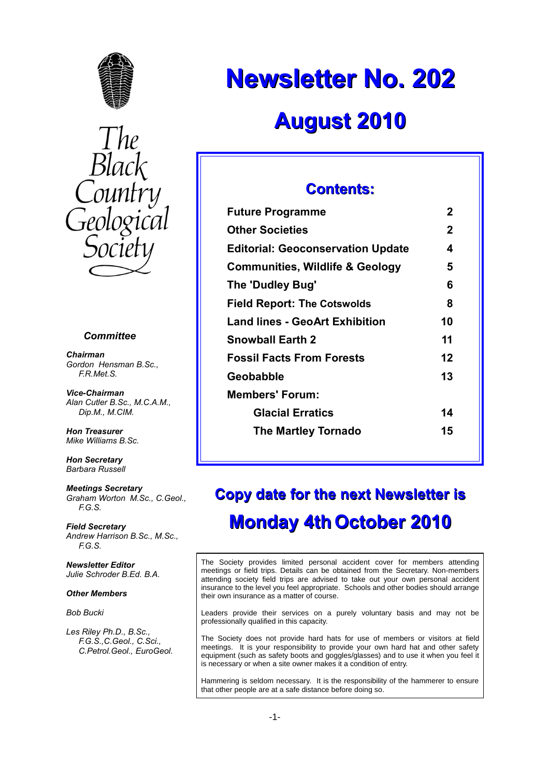



#### *Committee*

*Chairman Gordon Hensman B.Sc., F.R.Met.S.*

*Vice-Chairman Alan Cutler B.Sc., M.C.A.M., Dip.M., M.CIM.*

*Hon Treasurer Mike Williams B.Sc.*

*Hon Secretary Barbara Russell*

*Meetings Secretary Graham Worton M.Sc., C.Geol., F.G.S.*

*Field Secretary Andrew Harrison B.Sc., M.Sc., F.G.S.*

*Newsletter Editor Julie Schroder B.Ed. B.A.*

#### *Other Members*

*Bob Bucki*

*Les Riley Ph.D., B.Sc., F.G.S.,C.Geol., C.Sci., C.Petrol.Geol., EuroGeol.*

# **Newsletter No. 202 August 2010**

## **Contents:**

| <b>Future Programme</b>                    | 2           |
|--------------------------------------------|-------------|
| <b>Other Societies</b>                     | $\mathbf 2$ |
| <b>Editorial: Geoconservation Update</b>   | 4           |
| <b>Communities, Wildlife &amp; Geology</b> | 5           |
| The 'Dudley Bug'                           | 6           |
| <b>Field Report: The Cotswolds</b>         | 8           |
| <b>Land lines - GeoArt Exhibition</b>      | 10          |
| <b>Snowball Earth 2</b>                    | 11          |
| <b>Fossil Facts From Forests</b>           | 12          |
| Geobabble                                  | 13          |
| <b>Members' Forum:</b>                     |             |
| <b>Glacial Erratics</b>                    | 14          |
| <b>The Martley Tornado</b>                 | 15          |
|                                            |             |

# **Copy date for the next Newsletter is Monday 4th October 2010**

The Society provides limited personal accident cover for members attending meetings or field trips. Details can be obtained from the Secretary. Non-members attending society field trips are advised to take out your own personal accident insurance to the level you feel appropriate. Schools and other bodies should arrange their own insurance as a matter of course.

Leaders provide their services on a purely voluntary basis and may not be professionally qualified in this capacity.

The Society does not provide hard hats for use of members or visitors at field meetings. It is your responsibility to provide your own hard hat and other safety equipment (such as safety boots and goggles/glasses) and to use it when you feel it is necessary or when a site owner makes it a condition of entry.

Hammering is seldom necessary. It is the responsibility of the hammerer to ensure that other people are at a safe distance before doing so.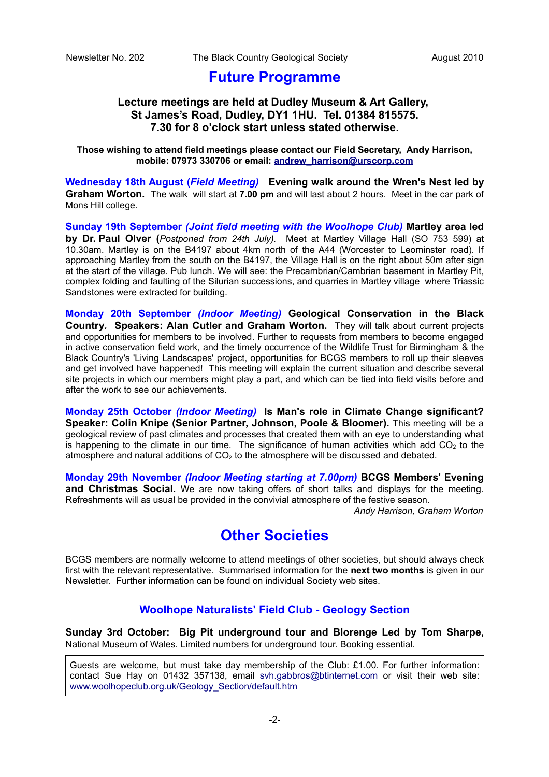## **Future Programme**

## **Lecture meetings are held at Dudley Museum & Art Gallery, St James's Road, Dudley, DY1 1HU. Tel. 01384 815575. 7.30 for 8 o'clock start unless stated otherwise.**

**Those wishing to attend field meetings please contact our Field Secretary, Andy Harrison, mobile: 07973 330706 or email: [andrew\\_harrison@urscorp.com](mailto:andrew_harrison@urscorp.com)**

**Wednesday 18th August (***Field Meeting)* **Evening walk around the Wren's Nest led by Graham Worton.** The walk will start at **7.00 pm** and will last about 2 hours. Meet in the car park of Mons Hill college.

**Sunday 19th September** *(Joint field meeting with the Woolhope Club)* **Martley area led by Dr. Paul Olver (***Postponed from 24th July).* Meet at Martley Village Hall (SO 753 599) at 10.30am. Martley is on the B4197 about 4km north of the A44 (Worcester to Leominster road). If approaching Martley from the south on the B4197, the Village Hall is on the right about 50m after sign at the start of the village. Pub lunch. We will see: the Precambrian/Cambrian basement in Martley Pit, complex folding and faulting of the Silurian successions, and quarries in Martley village where Triassic Sandstones were extracted for building.

**Monday 20th September** *(Indoor Meeting)* **Geological Conservation in the Black Country***.* **Speakers: Alan Cutler and Graham Worton.** They will talk about current projects and opportunities for members to be involved. Further to requests from members to become engaged in active conservation field work, and the timely occurrence of the Wildlife Trust for Birmingham & the Black Country's 'Living Landscapes' project, opportunities for BCGS members to roll up their sleeves and get involved have happened! This meeting will explain the current situation and describe several site projects in which our members might play a part, and which can be tied into field visits before and after the work to see our achievements.

**Monday 25th October** *(Indoor Meeting)* **Is Man's role in Climate Change significant? Speaker: Colin Knipe (Senior Partner, Johnson, Poole & Bloomer).** This meeting will be a geological review of past climates and processes that created them with an eye to understanding what is happening to the climate in our time. The significance of human activities which add  $CO<sub>2</sub>$  to the atmosphere and natural additions of  $CO<sub>2</sub>$  to the atmosphere will be discussed and debated.

**Monday 29th November** *(Indoor Meeting starting at 7.00pm)* **BCGS Members' Evening** and Christmas Social. We are now taking offers of short talks and displays for the meeting. Refreshments will as usual be provided in the convivial atmosphere of the festive season.  *Andy Harrison, Graham Worton*

# **Other Societies**

BCGS members are normally welcome to attend meetings of other societies, but should always check first with the relevant representative. Summarised information for the **next two months** is given in our Newsletter. Further information can be found on individual Society web sites.

## **Woolhope Naturalists' Field Club - Geology Section**

**Sunday 3rd October: Big Pit underground tour and Blorenge Led by Tom Sharpe,** National Museum of Wales. Limited numbers for underground tour. Booking essential.

Guests are welcome, but must take day membership of the Club: £1.00. For further information: contact Sue Hay on 01432 357138, email [svh.gabbros@btinternet.com](mailto:svh.gabbros@btinternet.com) or visit their web site: [www.woolhopeclub.org.uk/Geology\\_Section/default.htm](http://www.woolhopeclub.org.uk/Geology_Section/default.htm)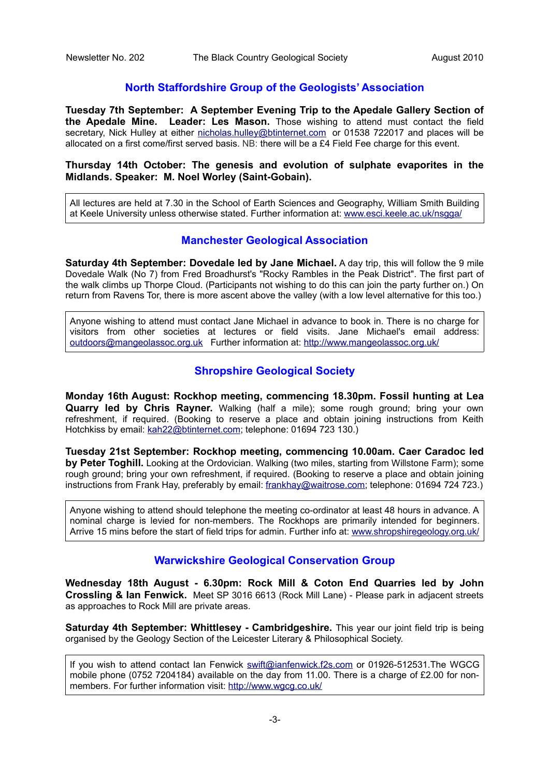## **North Staffordshire Group of the Geologists' Association**

**Tuesday 7th September: A September Evening Trip to the Apedale Gallery Section of the Apedale Mine. Leader: Les Mason.** Those wishing to attend must contact the field secretary, Nick Hulley at either [nicholas.hulley@btinternet.com](mailto:nicholas.hulley@btinternet.com) or 01538 722017 and places will be allocated on a first come/first served basis. NB: there will be a £4 Field Fee charge for this event.

## **Thursday 14th October: The genesis and evolution of sulphate evaporites in the Midlands. Speaker: M. Noel Worley (Saint-Gobain).**

All lectures are held at 7.30 in the School of Earth Sciences and Geography, William Smith Building at Keele University unless otherwise stated. Further information at: [www.esci.keele.ac.uk/nsgga/](http://www.esci.keele.ac.uk/nsgga/)

## **Manchester Geological Association**

**Saturday 4th September: Dovedale led by Jane Michael.** A day trip, this will follow the 9 mile Dovedale Walk (No 7) from Fred Broadhurst's "Rocky Rambles in the Peak District". The first part of the walk climbs up Thorpe Cloud. (Participants not wishing to do this can join the party further on.) On return from Ravens Tor, there is more ascent above the valley (with a low level alternative for this too.)

Anyone wishing to attend must contact Jane Michael in advance to book in. There is no charge for visitors from other societies at lectures or field visits. Jane Michael's email address: [outdoors@mangeolassoc.org.uk](mailto:outdoors@mangeolassoc.org.uk) Further information at:<http://www.mangeolassoc.org.uk/>

## **Shropshire Geological Society**

**Monday 16th August: Rockhop meeting, commencing 18.30pm. Fossil hunting at Lea Quarry led by Chris Rayner.** Walking (half a mile); some rough ground; bring your own refreshment, if required. (Booking to reserve a place and obtain joining instructions from Keith Hotchkiss by email: [kah22@btinternet.com;](mailto:kah22@btinternet.com) telephone: 01694 723 130.)

**Tuesday 21st September: Rockhop meeting, commencing 10.00am. Caer Caradoc led by Peter Toghill.** Looking at the Ordovician. Walking (two miles, starting from Willstone Farm); some rough ground; bring your own refreshment, if required. (Booking to reserve a place and obtain joining instructions from Frank Hay, preferably by email: [frankhay@waitrose.com;](mailto:frankhay@waitrose.com) telephone: 01694 724 723.)

Anyone wishing to attend should telephone the meeting co-ordinator at least 48 hours in advance. A nominal charge is levied for non-members. The Rockhops are primarily intended for beginners. Arrive 15 mins before the start of field trips for admin. Further info at: [www.shropshiregeology.org.uk/](http://www.shropshiregeology.org.uk/)

## **Warwickshire Geological Conservation Group**

**Wednesday 18th August - 6.30pm: Rock Mill & Coton End Quarries led by John Crossling & Ian Fenwick.** Meet SP 3016 6613 (Rock Mill Lane) - Please park in adjacent streets as approaches to Rock Mill are private areas.

**Saturday 4th September: Whittlesey - Cambridgeshire.** This year our joint field trip is being organised by the Geology Section of the Leicester Literary & Philosophical Society.

If you wish to attend contact Ian Fenwick [swift@ianfenwick.f2s.com](mailto:swift@ianfenwick.f2s.com) or 01926-512531.The WGCG mobile phone (0752 7204184) available on the day from 11.00. There is a charge of £2.00 for nonmembers. For further information visit:<http://www.wgcg.co.uk/>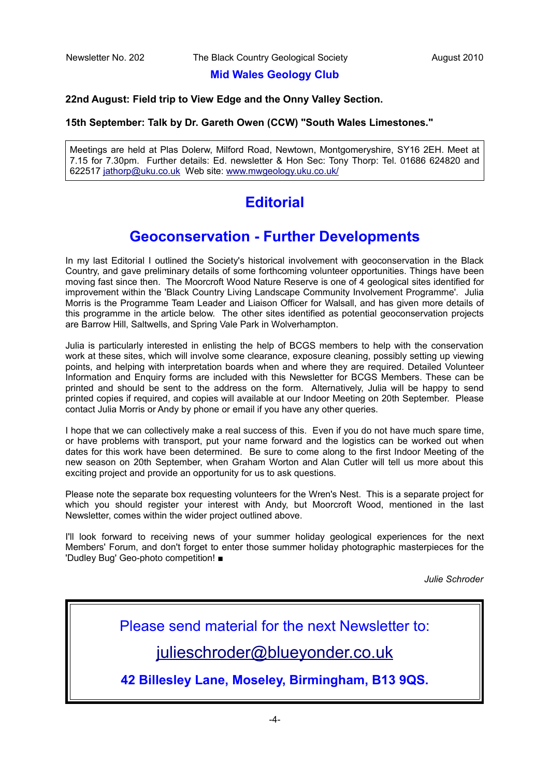## **Mid Wales Geology Club**

### **22nd August: Field trip to View Edge and the Onny Valley Section.**

### **15th September: Talk by Dr. Gareth Owen (CCW) "South Wales Limestones."**

Meetings are held at Plas Dolerw, Milford Road, Newtown, Montgomeryshire, SY16 2EH. Meet at 7.15 for 7.30pm. Further details: Ed. newsletter & Hon Sec: Tony Thorp: Tel. 01686 624820 and 622517 [jathorp@uku.co.uk](mailto:jathorp@uku.co.uk) Web site: [www.mwgeology.uku.co.uk/](http://www.mwgeology.uku.co.uk/)

# **Editorial**

# **Geoconservation - Further Developments**

In my last Editorial I outlined the Society's historical involvement with geoconservation in the Black Country, and gave preliminary details of some forthcoming volunteer opportunities. Things have been moving fast since then. The Moorcroft Wood Nature Reserve is one of 4 geological sites identified for improvement within the 'Black Country Living Landscape Community Involvement Programme'. Julia Morris is the Programme Team Leader and Liaison Officer for Walsall, and has given more details of this programme in the article below. The other sites identified as potential geoconservation projects are Barrow Hill, Saltwells, and Spring Vale Park in Wolverhampton.

Julia is particularly interested in enlisting the help of BCGS members to help with the conservation work at these sites, which will involve some clearance, exposure cleaning, possibly setting up viewing points, and helping with interpretation boards when and where they are required. Detailed Volunteer Information and Enquiry forms are included with this Newsletter for BCGS Members. These can be printed and should be sent to the address on the form. Alternatively, Julia will be happy to send printed copies if required, and copies will available at our Indoor Meeting on 20th September. Please contact Julia Morris or Andy by phone or email if you have any other queries.

I hope that we can collectively make a real success of this. Even if you do not have much spare time, or have problems with transport, put your name forward and the logistics can be worked out when dates for this work have been determined. Be sure to come along to the first Indoor Meeting of the new season on 20th September, when Graham Worton and Alan Cutler will tell us more about this exciting project and provide an opportunity for us to ask questions.

Please note the separate box requesting volunteers for the Wren's Nest. This is a separate project for which you should register your interest with Andy, but Moorcroft Wood, mentioned in the last Newsletter, comes within the wider project outlined above.

I'll look forward to receiving news of your summer holiday geological experiences for the next Members' Forum, and don't forget to enter those summer holiday photographic masterpieces for the 'Dudley Bug' Geo-photo competition! ■

*Julie Schroder*

Please send material for the next Newsletter to:

[julieschroder@blueyonder.co.uk](mailto:julieschroder@blueyonder.co.uk)

**42 Billesley Lane, Moseley, Birmingham, B13 9QS.**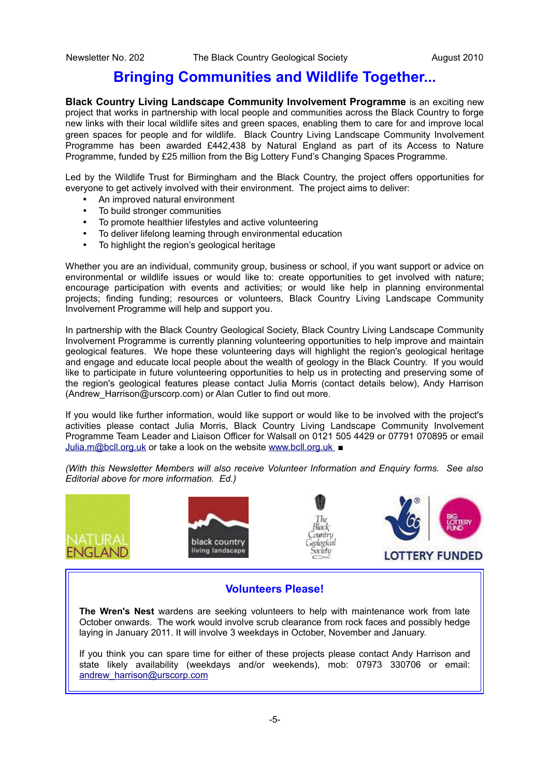## **Bringing Communities and Wildlife Together...**

**Black Country Living Landscape Community Involvement Programme is an exciting new** project that works in partnership with local people and communities across the Black Country to forge new links with their local wildlife sites and green spaces, enabling them to care for and improve local green spaces for people and for wildlife. Black Country Living Landscape Community Involvement Programme has been awarded £442,438 by Natural England as part of its Access to Nature Programme, funded by £25 million from the Big Lottery Fund's Changing Spaces Programme.

Led by the Wildlife Trust for Birmingham and the Black Country, the project offers opportunities for everyone to get actively involved with their environment. The project aims to deliver:

- An improved natural environment
- To build stronger communities
- To promote healthier lifestyles and active volunteering
- To deliver lifelong learning through environmental education
- To highlight the region's geological heritage

Whether you are an individual, community group, business or school, if you want support or advice on environmental or wildlife issues or would like to: create opportunities to get involved with nature; encourage participation with events and activities; or would like help in planning environmental projects; finding funding; resources or volunteers, Black Country Living Landscape Community Involvement Programme will help and support you.

In partnership with the Black Country Geological Society, Black Country Living Landscape Community Involvement Programme is currently planning volunteering opportunities to help improve and maintain geological features. We hope these volunteering days will highlight the region's geological heritage and engage and educate local people about the wealth of geology in the Black Country. If you would like to participate in future volunteering opportunities to help us in protecting and preserving some of the region's geological features please contact Julia Morris (contact details below), Andy Harrison (Andrew Harrison@urscorp.com) or Alan Cutler to find out more.

If you would like further information, would like support or would like to be involved with the project's activities please contact Julia Morris, Black Country Living Landscape Community Involvement Programme Team Leader and Liaison Officer for Walsall on 0121 505 4429 or 07791 070895 or email [Julia.m@bcll.org.uk](mailto:Julia.m@bcll.org.uk) or take a look on the website [www.bcll.org.uk](http://www.bcll.org.uk/) *■*

*(With this Newsletter Members will also receive Volunteer Information and Enquiry forms. See also Editorial above for more information. Ed.)*



## **Volunteers Please!**

**The Wren's Nest** wardens are seeking volunteers to help with maintenance work from late October onwards. The work would involve scrub clearance from rock faces and possibly hedge laying in January 2011. It will involve 3 weekdays in October, November and January.

If you think you can spare time for either of these projects please contact Andy Harrison and state likely availability (weekdays and/or weekends), mob: 07973 330706 or email: [andrew\\_harrison@urscorp.com](mailto:andrew_harrison@urscorp.com)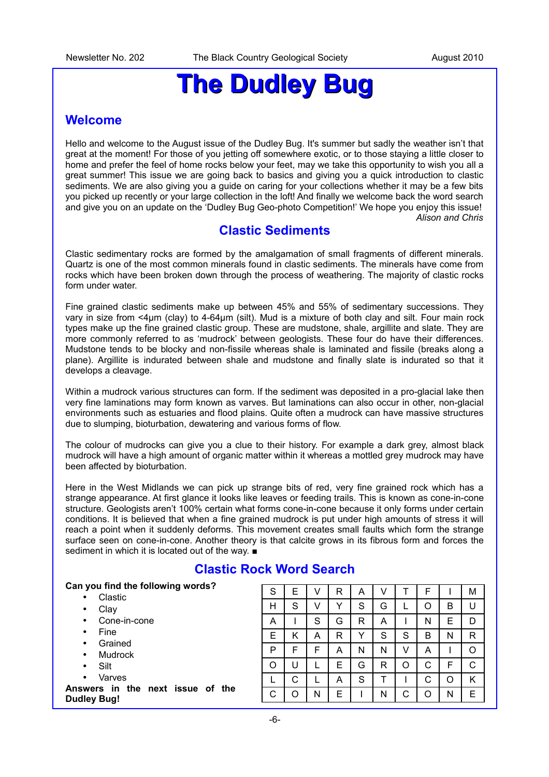# **The Dudley Bug**

## **Welcome**

Hello and welcome to the August issue of the Dudley Bug. It's summer but sadly the weather isn't that great at the moment! For those of you jetting off somewhere exotic, or to those staying a little closer to home and prefer the feel of home rocks below your feet, may we take this opportunity to wish you all a great summer! This issue we are going back to basics and giving you a quick introduction to clastic sediments. We are also giving you a guide on caring for your collections whether it may be a few bits you picked up recently or your large collection in the loft! And finally we welcome back the word search and give you on an update on the 'Dudley Bug Geo-photo Competition!' We hope you enjoy this issue! *Alison and Chris*

## **Clastic Sediments**

Clastic sedimentary rocks are formed by the amalgamation of small fragments of different minerals. Quartz is one of the most common minerals found in clastic sediments. The minerals have come from rocks which have been broken down through the process of weathering. The majority of clastic rocks form under water.

Fine grained clastic sediments make up between 45% and 55% of sedimentary successions. They vary in size from <4µm (clay) to 4-64µm (silt). Mud is a mixture of both clay and silt. Four main rock types make up the fine grained clastic group. These are mudstone, shale, argillite and slate. They are more commonly referred to as 'mudrock' between geologists. These four do have their differences. Mudstone tends to be blocky and non-fissile whereas shale is laminated and fissile (breaks along a plane). Argillite is indurated between shale and mudstone and finally slate is indurated so that it develops a cleavage.

Within a mudrock various structures can form. If the sediment was deposited in a pro-glacial lake then very fine laminations may form known as varves. But laminations can also occur in other, non-glacial environments such as estuaries and flood plains. Quite often a mudrock can have massive structures due to slumping, bioturbation, dewatering and various forms of flow.

The colour of mudrocks can give you a clue to their history. For example a dark grey, almost black mudrock will have a high amount of organic matter within it whereas a mottled grey mudrock may have been affected by bioturbation.

Here in the West Midlands we can pick up strange bits of red, very fine grained rock which has a strange appearance. At first glance it looks like leaves or feeding trails. This is known as cone-in-cone structure. Geologists aren't 100% certain what forms cone-in-cone because it only forms under certain conditions. It is believed that when a fine grained mudrock is put under high amounts of stress it will reach a point when it suddenly deforms. This movement creates small faults which form the strange surface seen on cone-in-cone. Another theory is that calcite grows in its fibrous form and forces the sediment in which it is located out of the way. ■

|                    | Gan you mid the following words? |
|--------------------|----------------------------------|
|                    | Clastic                          |
|                    | Clav                             |
| $\bullet$          | Cone-in-cone                     |
| $\bullet$          | Fine                             |
| $\bullet$          | Grained                          |
| $\bullet$          | Mudrock                          |
|                    | Silt                             |
|                    | Varves                           |
| <b>Dudley Bug!</b> | Answers in the next issue of the |

**Can you find the following words?**

## **Clastic Rock Word Search**

| S | E. | V | R | Α             | V | Т | F |   | M            |
|---|----|---|---|---------------|---|---|---|---|--------------|
| H | S  | V | Y | S             | G |   | Ο | В | U            |
| Α |    | S | G | R             | A |   | N | Е | D            |
| E | Κ  | Α | R | Y             | S | S | B | N | $\mathsf{R}$ |
| P | F  | F | Α | N             | N | V | Α |   | O            |
| O | U  |   | E | G             | R | O | C | F | C            |
|   | C  |   | Α | ${\mathsf S}$ | Т |   | С | O | Κ            |
| C | O  | N | E |               | N | C | Ο | N | E            |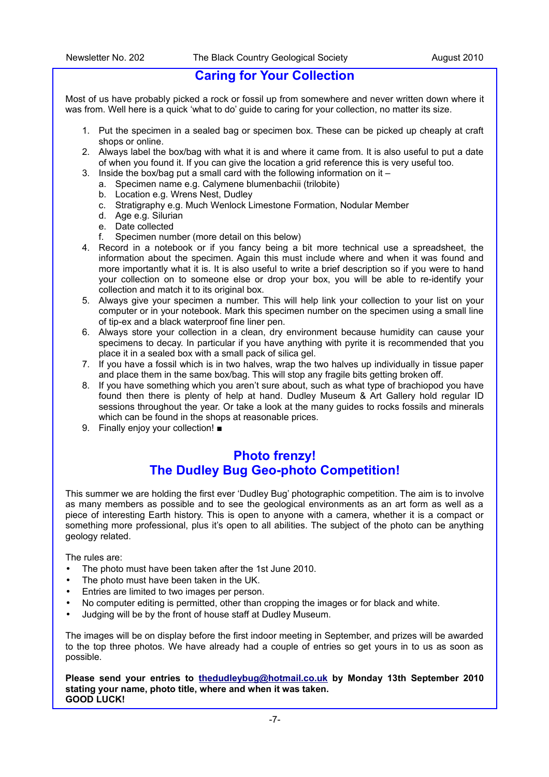## **Caring for Your Collection**

Most of us have probably picked a rock or fossil up from somewhere and never written down where it was from. Well here is a quick 'what to do' guide to caring for your collection, no matter its size.

- 1. Put the specimen in a sealed bag or specimen box. These can be picked up cheaply at craft shops or online.
- 2. Always label the box/bag with what it is and where it came from. It is also useful to put a date of when you found it. If you can give the location a grid reference this is very useful too.
- 3. Inside the box/bag put a small card with the following information on it
	- a. Specimen name e.g. Calymene blumenbachii (trilobite)
	- b. Location e.g. Wrens Nest, Dudley
	- c. Stratigraphy e.g. Much Wenlock Limestone Formation, Nodular Member
	- d. Age e.g. Silurian
	- e. Date collected
	- f. Specimen number (more detail on this below)
- 4. Record in a notebook or if you fancy being a bit more technical use a spreadsheet, the information about the specimen. Again this must include where and when it was found and more importantly what it is. It is also useful to write a brief description so if you were to hand your collection on to someone else or drop your box, you will be able to re-identify your collection and match it to its original box.
- 5. Always give your specimen a number. This will help link your collection to your list on your computer or in your notebook. Mark this specimen number on the specimen using a small line of tip-ex and a black waterproof fine liner pen.
- 6. Always store your collection in a clean, dry environment because humidity can cause your specimens to decay. In particular if you have anything with pyrite it is recommended that you place it in a sealed box with a small pack of silica gel.
- 7. If you have a fossil which is in two halves, wrap the two halves up individually in tissue paper and place them in the same box/bag. This will stop any fragile bits getting broken off.
- 8. If you have something which you aren't sure about, such as what type of brachiopod you have found then there is plenty of help at hand. Dudley Museum & Art Gallery hold regular ID sessions throughout the year. Or take a look at the many guides to rocks fossils and minerals which can be found in the shops at reasonable prices.
- 9. Finally enjoy your collection! ■

## **Photo frenzy! The Dudley Bug Geo-photo Competition!**

This summer we are holding the first ever 'Dudley Bug' photographic competition. The aim is to involve as many members as possible and to see the geological environments as an art form as well as a piece of interesting Earth history. This is open to anyone with a camera, whether it is a compact or something more professional, plus it's open to all abilities. The subject of the photo can be anything geology related.

The rules are:

- The photo must have been taken after the 1st June 2010.
- The photo must have been taken in the UK.
- Entries are limited to two images per person.
- No computer editing is permitted, other than cropping the images or for black and white.
- Judging will be by the front of house staff at Dudley Museum.

The images will be on display before the first indoor meeting in September, and prizes will be awarded to the top three photos. We have already had a couple of entries so get yours in to us as soon as possible.

**Please send your entries to [thedudleybug@hotmail.co.uk](mailto:thedudleybug@hotmail.co.uk) by Monday 13th September 2010 stating your name, photo title, where and when it was taken. GOOD LUCK!**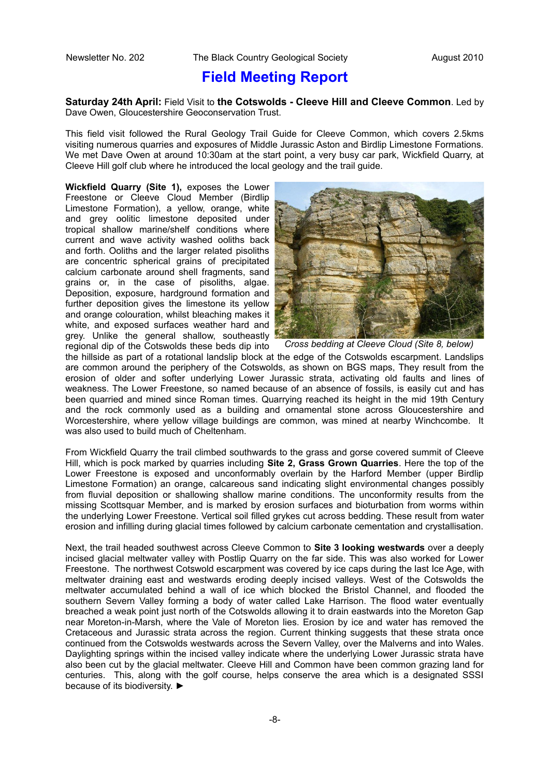## **Field Meeting Report**

**Saturday 24th April:** Field Visit to **the Cotswolds - Cleeve Hill and Cleeve Common**. Led by Dave Owen, Gloucestershire Geoconservation Trust.

This field visit followed the Rural Geology Trail Guide for Cleeve Common, which covers 2.5kms visiting numerous quarries and exposures of Middle Jurassic Aston and Birdlip Limestone Formations. We met Dave Owen at around 10:30am at the start point, a very busy car park, Wickfield Quarry, at Cleeve Hill golf club where he introduced the local geology and the trail guide.

**Wickfield Quarry (Site 1),** exposes the Lower Freestone or Cleeve Cloud Member (Birdlip Limestone Formation), a yellow, orange, white and grey oolitic limestone deposited under tropical shallow marine/shelf conditions where current and wave activity washed ooliths back and forth. Ooliths and the larger related pisoliths are concentric spherical grains of precipitated calcium carbonate around shell fragments, sand grains or, in the case of pisoliths, algae. Deposition, exposure, hardground formation and further deposition gives the limestone its yellow and orange colouration, whilst bleaching makes it white, and exposed surfaces weather hard and grey. Unlike the general shallow, southeastly regional dip of the Cotswolds these beds dip into



*Cross bedding at Cleeve Cloud (Site 8, below)*

the hillside as part of a rotational landslip block at the edge of the Cotswolds escarpment. Landslips are common around the periphery of the Cotswolds, as shown on BGS maps, They result from the erosion of older and softer underlying Lower Jurassic strata, activating old faults and lines of weakness. The Lower Freestone, so named because of an absence of fossils, is easily cut and has been quarried and mined since Roman times. Quarrying reached its height in the mid 19th Century and the rock commonly used as a building and ornamental stone across Gloucestershire and Worcestershire, where yellow village buildings are common, was mined at nearby Winchcombe. It was also used to build much of Cheltenham.

From Wickfield Quarry the trail climbed southwards to the grass and gorse covered summit of Cleeve Hill, which is pock marked by quarries including **Site 2, Grass Grown Quarries**. Here the top of the Lower Freestone is exposed and unconformably overlain by the Harford Member (upper Birdlip Limestone Formation) an orange, calcareous sand indicating slight environmental changes possibly from fluvial deposition or shallowing shallow marine conditions. The unconformity results from the missing Scottsquar Member, and is marked by erosion surfaces and bioturbation from worms within the underlying Lower Freestone. Vertical soil filled grykes cut across bedding. These result from water erosion and infilling during glacial times followed by calcium carbonate cementation and crystallisation.

Next, the trail headed southwest across Cleeve Common to **Site 3 looking westwards** over a deeply incised glacial meltwater valley with Postlip Quarry on the far side. This was also worked for Lower Freestone. The northwest Cotswold escarpment was covered by ice caps during the last Ice Age, with meltwater draining east and westwards eroding deeply incised valleys. West of the Cotswolds the meltwater accumulated behind a wall of ice which blocked the Bristol Channel, and flooded the southern Severn Valley forming a body of water called Lake Harrison. The flood water eventually breached a weak point just north of the Cotswolds allowing it to drain eastwards into the Moreton Gap near Moreton-in-Marsh, where the Vale of Moreton lies. Erosion by ice and water has removed the Cretaceous and Jurassic strata across the region. Current thinking suggests that these strata once continued from the Cotswolds westwards across the Severn Valley, over the Malverns and into Wales. Daylighting springs within the incised valley indicate where the underlying Lower Jurassic strata have also been cut by the glacial meltwater. Cleeve Hill and Common have been common grazing land for centuries. This, along with the golf course, helps conserve the area which is a designated SSSI because of its biodiversity. ►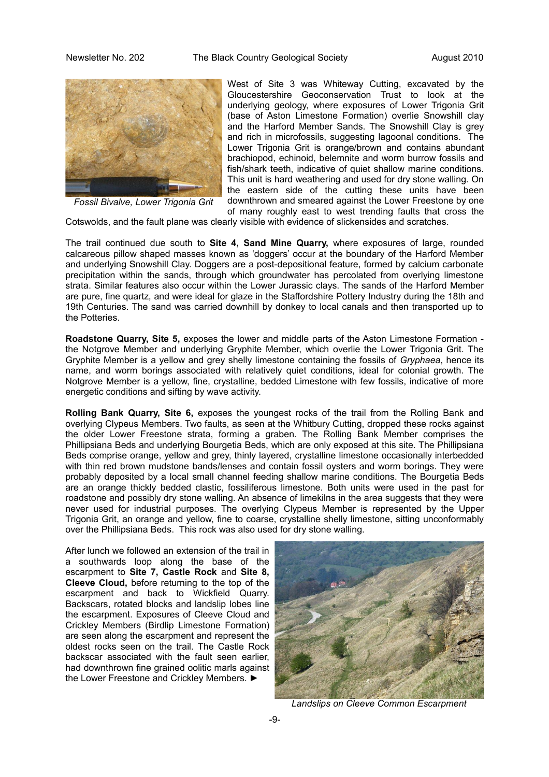

West of Site 3 was Whiteway Cutting, excavated by the Gloucestershire Geoconservation Trust to look at the underlying geology, where exposures of Lower Trigonia Grit (base of Aston Limestone Formation) overlie Snowshill clay and the Harford Member Sands. The Snowshill Clay is grey and rich in microfossils, suggesting lagoonal conditions. The Lower Trigonia Grit is orange/brown and contains abundant brachiopod, echinoid, belemnite and worm burrow fossils and fish/shark teeth, indicative of quiet shallow marine conditions. This unit is hard weathering and used for dry stone walling. On the eastern side of the cutting these units have been downthrown and smeared against the Lower Freestone by one of many roughly east to west trending faults that cross the

*Fossil Bivalve, Lower Trigonia Grit*

Cotswolds, and the fault plane was clearly visible with evidence of slickensides and scratches.

The trail continued due south to **Site 4, Sand Mine Quarry,** where exposures of large, rounded calcareous pillow shaped masses known as 'doggers' occur at the boundary of the Harford Member and underlying Snowshill Clay. Doggers are a post-depositional feature, formed by calcium carbonate precipitation within the sands, through which groundwater has percolated from overlying limestone strata. Similar features also occur within the Lower Jurassic clays. The sands of the Harford Member are pure, fine quartz, and were ideal for glaze in the Staffordshire Pottery Industry during the 18th and 19th Centuries. The sand was carried downhill by donkey to local canals and then transported up to the Potteries.

**Roadstone Quarry, Site 5,** exposes the lower and middle parts of the Aston Limestone Formation the Notgrove Member and underlying Gryphite Member, which overlie the Lower Trigonia Grit. The Gryphite Member is a yellow and grey shelly limestone containing the fossils of *Gryphaea*, hence its name, and worm borings associated with relatively quiet conditions, ideal for colonial growth. The Notgrove Member is a yellow, fine, crystalline, bedded Limestone with few fossils, indicative of more energetic conditions and sifting by wave activity.

**Rolling Bank Quarry, Site 6,** exposes the youngest rocks of the trail from the Rolling Bank and overlying Clypeus Members. Two faults, as seen at the Whitbury Cutting, dropped these rocks against the older Lower Freestone strata, forming a graben. The Rolling Bank Member comprises the Phillipsiana Beds and underlying Bourgetia Beds, which are only exposed at this site. The Phillipsiana Beds comprise orange, yellow and grey, thinly layered, crystalline limestone occasionally interbedded with thin red brown mudstone bands/lenses and contain fossil oysters and worm borings. They were probably deposited by a local small channel feeding shallow marine conditions. The Bourgetia Beds are an orange thickly bedded clastic, fossiliferous limestone. Both units were used in the past for roadstone and possibly dry stone walling. An absence of limekilns in the area suggests that they were never used for industrial purposes. The overlying Clypeus Member is represented by the Upper Trigonia Grit, an orange and yellow, fine to coarse, crystalline shelly limestone, sitting unconformably over the Phillipsiana Beds. This rock was also used for dry stone walling.

After lunch we followed an extension of the trail in a southwards loop along the base of the escarpment to **Site 7, Castle Rock** and **Site 8, Cleeve Cloud,** before returning to the top of the escarpment and back to Wickfield Quarry. Backscars, rotated blocks and landslip lobes line the escarpment. Exposures of Cleeve Cloud and Crickley Members (Birdlip Limestone Formation) are seen along the escarpment and represent the oldest rocks seen on the trail. The Castle Rock backscar associated with the fault seen earlier, had downthrown fine grained oolitic marls against the Lower Freestone and Crickley Members. ►



*Landslips on Cleeve Common Escarpment*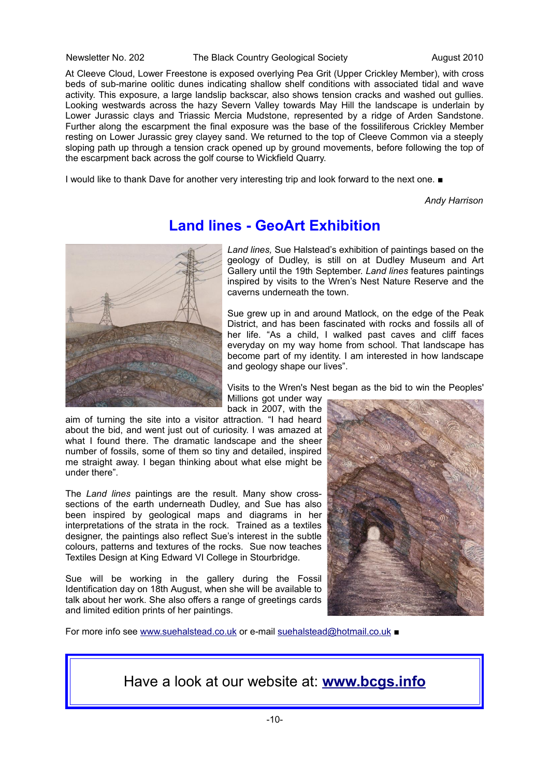#### Newsletter No. 202 The Black Country Geological Society August 2010

At Cleeve Cloud, Lower Freestone is exposed overlying Pea Grit (Upper Crickley Member), with cross beds of sub-marine oolitic dunes indicating shallow shelf conditions with associated tidal and wave activity. This exposure, a large landslip backscar, also shows tension cracks and washed out gullies. Looking westwards across the hazy Severn Valley towards May Hill the landscape is underlain by Lower Jurassic clays and Triassic Mercia Mudstone, represented by a ridge of Arden Sandstone. Further along the escarpment the final exposure was the base of the fossiliferous Crickley Member resting on Lower Jurassic grey clayey sand. We returned to the top of Cleeve Common via a steeply sloping path up through a tension crack opened up by ground movements, before following the top of the escarpment back across the golf course to Wickfield Quarry.

I would like to thank Dave for another very interesting trip and look forward to the next one. ■

*Andy Harrison*



**Land lines - GeoArt Exhibition**

*Land lines,* Sue Halstead's exhibition of paintings based on the geology of Dudley, is still on at Dudley Museum and Art Gallery until the 19th September. *Land lines* features paintings inspired by visits to the Wren's Nest Nature Reserve and the caverns underneath the town.

Sue grew up in and around Matlock, on the edge of the Peak District, and has been fascinated with rocks and fossils all of her life. "As a child, I walked past caves and cliff faces everyday on my way home from school. That landscape has become part of my identity. I am interested in how landscape and geology shape our lives".

Visits to the Wren's Nest began as the bid to win the Peoples' Millions got under way

back in 2007, with the

aim of turning the site into a visitor attraction. "I had heard about the bid, and went just out of curiosity. I was amazed at what I found there. The dramatic landscape and the sheer number of fossils, some of them so tiny and detailed, inspired me straight away. I began thinking about what else might be under there".

The *Land lines* paintings are the result*.* Many show crosssections of the earth underneath Dudley, and Sue has also been inspired by geological maps and diagrams in her interpretations of the strata in the rock. Trained as a textiles designer, the paintings also reflect Sue's interest in the subtle colours, patterns and textures of the rocks. Sue now teaches Textiles Design at King Edward VI College in Stourbridge.

Sue will be working in the gallery during the Fossil Identification day on 18th August, when she will be available to talk about her work. She also offers a range of greetings cards and limited edition prints of her paintings.



For more info see [www.suehalstead.co.uk](http://www.suehalstead.co.uk/) or e-mail [suehalstead@hotmail.co.uk](mailto:suehalstead@hotmail.co.uk) ■

## Have a look at our website at: **[www.bcgs.info](http://www.bcgs.info/)**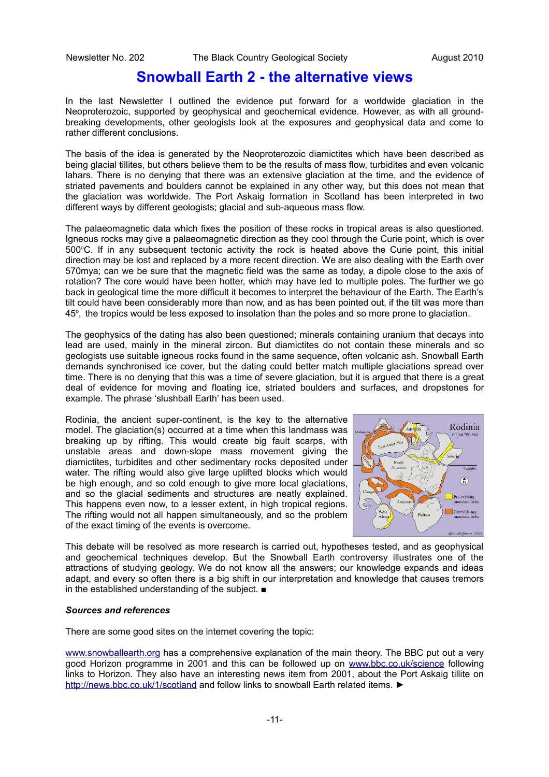## **Snowball Earth 2 - the alternative views**

In the last Newsletter I outlined the evidence put forward for a worldwide glaciation in the Neoproterozoic, supported by geophysical and geochemical evidence. However, as with all groundbreaking developments, other geologists look at the exposures and geophysical data and come to rather different conclusions.

The basis of the idea is generated by the Neoproterozoic diamictites which have been described as being glacial tillites, but others believe them to be the results of mass flow, turbidites and even volcanic lahars. There is no denying that there was an extensive glaciation at the time, and the evidence of striated pavements and boulders cannot be explained in any other way, but this does not mean that the glaciation was worldwide. The Port Askaig formation in Scotland has been interpreted in two different ways by different geologists; glacial and sub-aqueous mass flow.

The palaeomagnetic data which fixes the position of these rocks in tropical areas is also questioned. Igneous rocks may give a palaeomagnetic direction as they cool through the Curie point, which is over 500°C. If in any subsequent tectonic activity the rock is heated above the Curie point, this initial direction may be lost and replaced by a more recent direction. We are also dealing with the Earth over 570mya; can we be sure that the magnetic field was the same as today, a dipole close to the axis of rotation? The core would have been hotter, which may have led to multiple poles. The further we go back in geological time the more difficult it becomes to interpret the behaviour of the Earth. The Earth's tilt could have been considerably more than now, and as has been pointed out, if the tilt was more than 45°, the tropics would be less exposed to insolation than the poles and so more prone to glaciation.

The geophysics of the dating has also been questioned; minerals containing uranium that decays into lead are used, mainly in the mineral zircon. But diamictites do not contain these minerals and so geologists use suitable igneous rocks found in the same sequence, often volcanic ash. Snowball Earth demands synchronised ice cover, but the dating could better match multiple glaciations spread over time. There is no denying that this was a time of severe glaciation, but it is argued that there is a great deal of evidence for moving and floating ice, striated boulders and surfaces, and dropstones for example. The phrase 'slushball Earth' has been used.

Rodinia, the ancient super-continent, is the key to the alternative model. The glaciation(s) occurred at a time when this landmass was breaking up by rifting. This would create big fault scarps, with unstable areas and down-slope mass movement giving the diamictites, turbidites and other sedimentary rocks deposited under water. The rifting would also give large uplifted blocks which would be high enough, and so cold enough to give more local glaciations, and so the glacial sediments and structures are neatly explained. This happens even now, to a lesser extent, in high tropical regions. The rifting would not all happen simultaneously, and so the problem of the exact timing of the events is overcome.



This debate will be resolved as more research is carried out, hypotheses tested, and as geophysical and geochemical techniques develop. But the Snowball Earth controversy illustrates one of the attractions of studying geology. We do not know all the answers; our knowledge expands and ideas adapt, and every so often there is a big shift in our interpretation and knowledge that causes tremors in the established understanding of the subject. ■

#### *Sources and references*

There are some good sites on the internet covering the topic:

[www.snowballearth.org](http://www.snowballearth.org/) has a comprehensive explanation of the main theory. The BBC put out a very good Horizon programme in 2001 and this can be followed up on [www.bbc.co.uk/science](http://www.bbc.co.uk/science) following links to Horizon. They also have an interesting news item from 2001, about the Port Askaig tillite on <http://news.bbc.co.uk/1/scotland>and follow links to snowball Earth related items. ►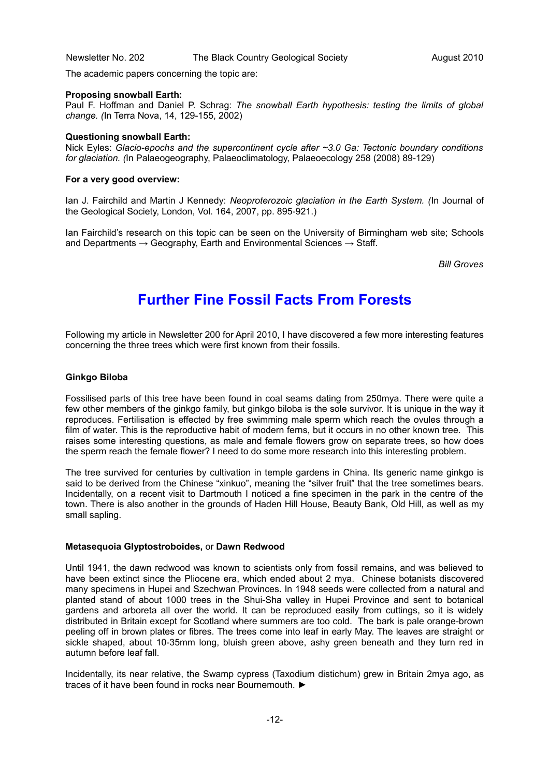The academic papers concerning the topic are:

#### **Proposing snowball Earth:**

Paul F. Hoffman and Daniel P. Schrag: *The snowball Earth hypothesis: testing the limits of global change. (*In Terra Nova, 14, 129-155, 2002)

#### **Questioning snowball Earth:**

Nick Eyles: *Glacio-epochs and the supercontinent cycle after ~3.0 Ga: Tectonic boundary conditions for glaciation. (*In Palaeogeography, Palaeoclimatology, Palaeoecology 258 (2008) 89-129)

#### **For a very good overview:**

Ian J. Fairchild and Martin J Kennedy: *Neoproterozoic glaciation in the Earth System. (*In Journal of the Geological Society, London, Vol. 164, 2007, pp. 895-921.)

Ian Fairchild's research on this topic can be seen on the University of Birmingham web site; Schools and Departments  $\rightarrow$  Geography, Earth and Environmental Sciences  $\rightarrow$  Staff.

*Bill Groves*

# **Further Fine Fossil Facts From Forests**

Following my article in Newsletter 200 for April 2010, I have discovered a few more interesting features concerning the three trees which were first known from their fossils.

#### **Ginkgo Biloba**

Fossilised parts of this tree have been found in coal seams dating from 250mya. There were quite a few other members of the ginkgo family, but ginkgo biloba is the sole survivor. It is unique in the way it reproduces. Fertilisation is effected by free swimming male sperm which reach the ovules through a film of water. This is the reproductive habit of modern ferns, but it occurs in no other known tree. This raises some interesting questions, as male and female flowers grow on separate trees, so how does the sperm reach the female flower? I need to do some more research into this interesting problem.

The tree survived for centuries by cultivation in temple gardens in China. Its generic name ginkgo is said to be derived from the Chinese "xinkuo", meaning the "silver fruit" that the tree sometimes bears. Incidentally, on a recent visit to Dartmouth I noticed a fine specimen in the park in the centre of the town. There is also another in the grounds of Haden Hill House, Beauty Bank, Old Hill, as well as my small sapling.

#### **Metasequoia Glyptostroboides,** or **Dawn Redwood**

Until 1941, the dawn redwood was known to scientists only from fossil remains, and was believed to have been extinct since the Pliocene era, which ended about 2 mya. Chinese botanists discovered many specimens in Hupei and Szechwan Provinces. In 1948 seeds were collected from a natural and planted stand of about 1000 trees in the Shui-Sha valley in Hupei Province and sent to botanical gardens and arboreta all over the world. It can be reproduced easily from cuttings, so it is widely distributed in Britain except for Scotland where summers are too cold. The bark is pale orange-brown peeling off in brown plates or fibres. The trees come into leaf in early May. The leaves are straight or sickle shaped, about 10-35mm long, bluish green above, ashy green beneath and they turn red in autumn before leaf fall.

Incidentally, its near relative, the Swamp cypress (Taxodium distichum) grew in Britain 2mya ago, as traces of it have been found in rocks near Bournemouth. ►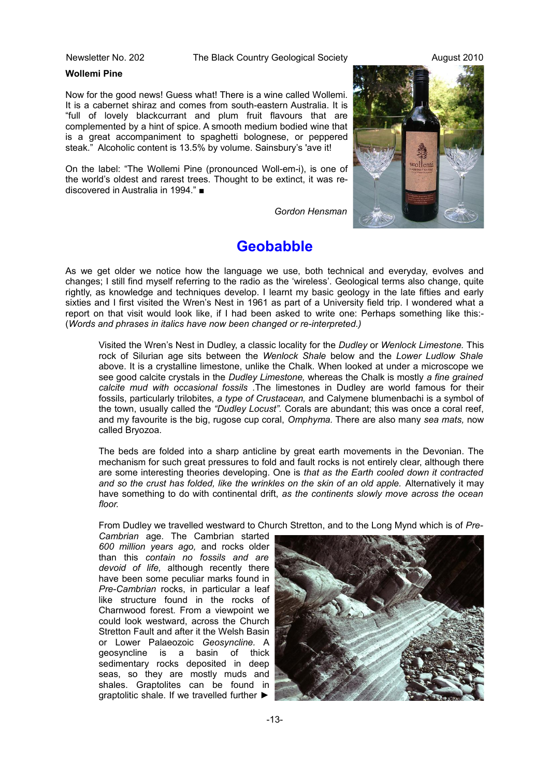Newsletter No. 202 The Black Country Geological Society August 2010

#### **Wollemi Pine**

Now for the good news! Guess what! There is a wine called Wollemi. It is a cabernet shiraz and comes from south-eastern Australia. It is "full of lovely blackcurrant and plum fruit flavours that are complemented by a hint of spice. A smooth medium bodied wine that is a great accompaniment to spaghetti bolognese, or peppered steak." Alcoholic content is 13.5% by volume. Sainsbury's 'ave it!

On the label: "The Wollemi Pine (pronounced Woll-em-i), is one of the world's oldest and rarest trees. Thought to be extinct, it was rediscovered in Australia in 1994." ■

*Gordon Hensman*

# **Geobabble**

As we get older we notice how the language we use, both technical and everyday, evolves and changes; I still find myself referring to the radio as the 'wireless'. Geological terms also change, quite rightly, as knowledge and techniques develop. I learnt my basic geology in the late fifties and early sixties and I first visited the Wren's Nest in 1961 as part of a University field trip. I wondered what a report on that visit would look like, if I had been asked to write one: Perhaps something like this:- (*Words and phrases in italics have now been changed or re-interpreted.)*

Visited the Wren's Nest in Dudley, a classic locality for the *Dudley* or *Wenlock Limestone.* This rock of Silurian age sits between the *Wenlock Shale* below and the *Lower Ludlow Shale* above. It is a crystalline limestone, unlike the Chalk. When looked at under a microscope we see good calcite crystals in the *Dudley Limestone,* whereas the Chalk is mostly *a fine grained calcite mud with occasional fossils .*The limestones in Dudley are world famous for their fossils, particularly trilobites, *a type of Crustacean,* and Calymene blumenbachi is a symbol of the town, usually called the *"Dudley Locust".* Corals are abundant; this was once a coral reef, and my favourite is the big, rugose cup coral, *Omphyma.* There are also many *sea mats,* now called Bryozoa.

The beds are folded into a sharp anticline by great earth movements in the Devonian. The mechanism for such great pressures to fold and fault rocks is not entirely clear, although there are some interesting theories developing. One is *that as the Earth cooled down it contracted* and so the crust has folded, like the wrinkles on the skin of an old apple. Alternatively it may have something to do with continental drift, *as the continents slowly move across the ocean floor.*

From Dudley we travelled westward to Church Stretton, and to the Long Mynd which is of *Pre-*

*Cambrian* age. The Cambrian started *600 million years ago,* and rocks older than this *contain no fossils and are devoid of life,* although recently there have been some peculiar marks found in *Pre-Cambrian* rocks, in particular a leaf like structure found in the rocks of Charnwood forest. From a viewpoint we could look westward, across the Church Stretton Fault and after it the Welsh Basin or Lower Palaeozoic *Geosyncline.* A geosyncline is a basin of thick sedimentary rocks deposited in deep seas, so they are mostly muds and shales. Graptolites can be found in graptolitic shale. If we travelled further ►



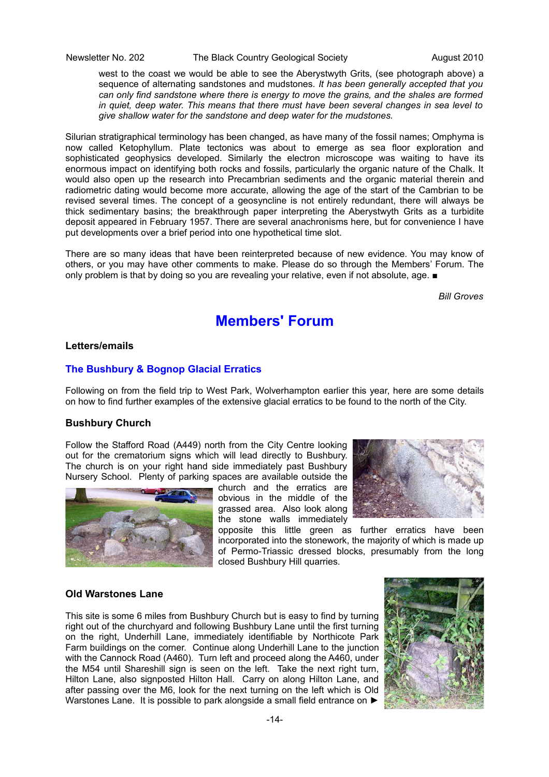Newsletter No. 202 The Black Country Geological Society August 2010

west to the coast we would be able to see the Aberystwyth Grits, (see photograph above) a sequence of alternating sandstones and mudstones. *It has been generally accepted that you can only find sandstone where there is energy to move the grains, and the shales are formed in quiet, deep water. This means that there must have been several changes in sea level to give shallow water for the sandstone and deep water for the mudstones.*

Silurian stratigraphical terminology has been changed, as have many of the fossil names; Omphyma is now called Ketophyllum. Plate tectonics was about to emerge as sea floor exploration and sophisticated geophysics developed. Similarly the electron microscope was waiting to have its enormous impact on identifying both rocks and fossils, particularly the organic nature of the Chalk. It would also open up the research into Precambrian sediments and the organic material therein and radiometric dating would become more accurate, allowing the age of the start of the Cambrian to be revised several times. The concept of a geosyncline is not entirely redundant, there will always be thick sedimentary basins; the breakthrough paper interpreting the Aberystwyth Grits as a turbidite deposit appeared in February 1957. There are several anachronisms here, but for convenience I have put developments over a brief period into one hypothetical time slot.

There are so many ideas that have been reinterpreted because of new evidence. You may know of others, or you may have other comments to make. Please do so through the Members' Forum. The only problem is that by doing so you are revealing your relative, even if not absolute, age. ■

*Bill Groves*

## **Members' Forum**

## **Letters/emails**

## **The Bushbury & Bognop Glacial Erratics**

Following on from the field trip to West Park, Wolverhampton earlier this year, here are some details on how to find further examples of the extensive glacial erratics to be found to the north of the City.

### **Bushbury Church**

Follow the Stafford Road (A449) north from the City Centre looking out for the crematorium signs which will lead directly to Bushbury. The church is on your right hand side immediately past Bushbury Nursery School. Plenty of parking spaces are available outside the



church and the erratics are obvious in the middle of the grassed area. Also look along the stone walls immediately

opposite this little green as further erratics have been incorporated into the stonework, the majority of which is made up of Permo-Triassic dressed blocks, presumably from the long closed Bushbury Hill quarries.

#### **Old Warstones Lane**

This site is some 6 miles from Bushbury Church but is easy to find by turning right out of the churchyard and following Bushbury Lane until the first turning on the right, Underhill Lane, immediately identifiable by Northicote Park Farm buildings on the corner. Continue along Underhill Lane to the junction with the Cannock Road (A460). Turn left and proceed along the A460, under the M54 until Shareshill sign is seen on the left. Take the next right turn, Hilton Lane, also signposted Hilton Hall. Carry on along Hilton Lane, and after passing over the M6, look for the next turning on the left which is Old Warstones Lane. It is possible to park alongside a small field entrance on ►